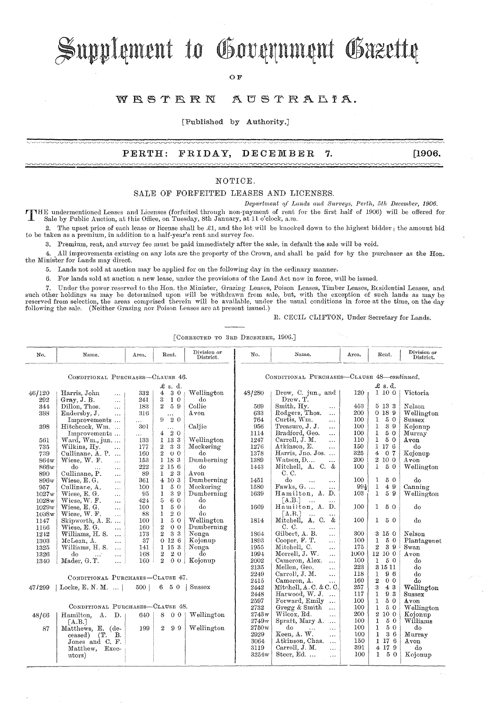# Supplement to Government Gazette

OF

#### WRSTRRN AUSTRALIA.

[Published by Authority.]

### **PERTH:** FRIDAY, **DECEMBER 7. [1906.**

#### NOTIOE.

SALE OF FORFEITED LEASES AND LICENSES.

*Depa?'hnent* 0/ *Lands anrI f'hwveys, PeJ·th, 5th December, 1906.* **rr** HE undermontioned Leases and Lioenses (forfeitecl through non-payment of rent for the first half of 190G) will be offered for Sale by Public Auction, at this Office, on Tuesday, 8th January, at 11 o'clock, a.m.

2. The upset price of each lease or license shall be  $\mathcal{L}1$ , and the lot will be knocked down to the highest bidder; the amount bid to be taken as a premium, in addition to a half-year's rent and survey fee.

3. Premium, rent, and survey fee must be paid immediately after the sale, in default the sale will be void.

4 .• All improvements existing on any lots are the property of the Crown, and shall be paid for by the purchaser as the Ron. the Minister for Lands may direct.

5. Lands not sold at auction may be applied for on the following day in the ordinary manner.

6. For lands sold at auction a new lease, under the provisions of the Land Act now in force, will be issued.

7. Under the power reserved to the Hon. the Minister, Grazing Leases, Poison Leases, Timber Leases, Residential Leases, and<br>such other holdings as may be determined upon will be withdrawn from sale, but, with the exception following the sale. (Neither Grazing nor Poison Leases are at present issued.)

R. CECIL CLIFTON, Under Secretary for Lands.

[CORRECTED TO 3RD DECEMBER, 1906.]

| No.                              | Name.                        | Area.    | Rent.                            | Division or<br>District. | No.                                        | Name.                                         | Area.      | Rent.                                | Division or<br>District. |
|----------------------------------|------------------------------|----------|----------------------------------|--------------------------|--------------------------------------------|-----------------------------------------------|------------|--------------------------------------|--------------------------|
| CONDITIONAL PURCHASES-CLAUSE 46. |                              |          |                                  |                          | CONDITIONAL PURCHASES-CLAUSE 48-continued. |                                               |            |                                      |                          |
| $\pounds$ s. d.                  |                              |          |                                  |                          | £ s. d.                                    |                                               |            |                                      |                          |
| 46/120                           | Harris, John<br>$\ldots$     | 332      | 4<br>30                          | Wellington               | 43/280                                     | Drew, C. jun., and                            | 120        | 1100                                 | Victoria                 |
| 292                              | Gray, J. B.<br>$\ddotsc$     | 241      | 3<br>$1\,0$                      | do                       |                                            | Drew, T.                                      |            |                                      |                          |
| 344                              | Dillon, Thos.<br>$\cdots$    | 183      | $\overline{2}$<br>59             | Collie                   | 569                                        | Smith, Hy.<br>$\cdots$                        | 453        | 5 13 3                               | Nelson                   |
| 388                              | Endersby, J.<br>$\ddotsc$    | 316      | $\ldots$                         | Avon                     | 633                                        | Rodgers, Thos.<br>$\ddotsc$                   | 200        | 0189                                 | Wellington               |
|                                  | Improvements                 | .        | 20<br>9.                         |                          | 764                                        | Curtis, Wm.<br>$\cdots$                       | 100        | 50<br>$\mathbf{1}$                   | Sussex                   |
| 398                              | Hitchcock, Wm.               | 301      | $\cdots$                         | Caljie                   | 956                                        | Treasure, J. J.<br>$\cdots$                   | 100        | $\mathbf{1}$<br>39                   | Kojonup                  |
|                                  | Improvements                 | $\cdots$ | 420                              |                          | 1114                                       | Bradford, Geo.<br>$\ldots$                    | 100        | $\mathbf{1}$<br>50                   | Murray                   |
| 561                              | Ward, Wm., jun               | 133      | 1 13 3                           | Wellington               | 1247                                       | Carroll, J. M.<br>$\ddotsc$                   | 110        | $\mathbf{1}$<br>50                   | Avon                     |
| 735                              | Wilkins, Hy.<br>$\ddotsc$    | 177      | 33<br>$\overline{2}$             | Meckering                | 1276                                       | Atkinson, E.<br>$\ddotsc$                     | 150        | 1176                                 | do                       |
| 739                              | Cullinane, A. P.             | 160      | $\overline{2}$<br>0 <sub>0</sub> | do                       | 1378                                       | Harris, Jno. Jos.                             | 325        | 4<br>0 <sub>7</sub>                  | Kojonup                  |
| 864w                             | Wiese, W. F.<br>$\ddotsc$    | 153      | $1\,$ 18 $\,3$                   | Dumberning               | 1389                                       | Watson, D<br>$\ddotsc$                        | 200        | $2\ 10\ 0$                           | Avon                     |
| 866w                             | do<br>$\ddotsc$<br>$\cdots$  | 222      | 2 15 6                           | do                       | 1443                                       | Mitchell, A. C. &                             | 100        | $\mathbf{1}$<br>50                   | Wellington               |
| 890                              | Cullinane, P.<br>$\ddotsc$   | 89       | 23<br>$\mathbf{1}$               | $_{\mathrm{Avon}}$       |                                            | C. C.                                         |            |                                      |                          |
| 896w                             | Wiese, E.G.<br>$\ddotsc$     | 361      | 4 10 3                           | Dumberning               | 1451                                       | do<br>$\ddotsc$<br>$\ddotsc$                  | 100        | 50<br>1                              | do                       |
| 957                              | Cullinane, A.<br>$\ddotsc$   | 100      | 50<br>$\mathbf{1}$               | Meckering                | 1580                                       | Fawks, G.<br>.                                | 994        | $\mathbf{1}$<br>49                   | Canning                  |
| 1027w                            | Wiese, E. G.<br>$\ldots$     | 95       | 39<br>$\mathbf{1}$               | Dumberning               | 1639                                       | Hamilton, A. D.                               | 103        | 1<br>59                              | Wellington               |
| 1028w                            | Wiese, W. F.<br>$\cdots$     | 424      | 5<br>6 0                         | do                       |                                            | [A.B.]<br>$\cdots$                            |            |                                      |                          |
| 1029w                            | Wiese, E. G.<br>$\ddotsc$    | 100      | 50<br>$\mathbf{1}$               | do                       | 1669                                       | Hamilton, A. D.                               | 100        | 50<br>$\mathbf{1}$                   | do                       |
| 1038w                            | Wiese, W. F.<br>$\ddotsc$    | 88       | $2\,$ $0\,$<br>$\mathbf{1}$      | do                       |                                            | $\lceil A.B. \rceil$<br>$\ddotsc$<br>.        |            |                                      |                          |
| 1147                             | Skipworth, A. E              | 100      | 50<br>ı                          | Wellington               | 1814                                       | Mitchell, A. C.<br>&                          | 100        | 50<br>$\mathbf{1}$                   | do                       |
| 1166                             | Wiese, E. G.<br>.            | 160      | $\mathbf{2}$<br>0 <sub>0</sub>   | Dumberning               |                                            | C. C.<br>$\cdots$<br>$\ddotsc$                |            |                                      |                          |
| 1242                             | Williams, H. S.<br>$\ddotsc$ | 173      | $\overline{2}$<br>33             | Nonga                    | 1864                                       | Gilbert, A. B.<br>$\mathbf{r}$                | 300        | 3 15 0                               | Nelson                   |
| 1303                             | McLean, A.<br>$\ddotsc$      | 37       | 0126                             | Kojonup                  | 1893                                       | Cooper, F. T.<br>$\ddotsc$                    | 100        | 50<br>1                              | Plantagenet              |
| 1325                             | Williams, H. S.<br>$\cdots$  | 141      | 1 15 3                           | Nonga                    | 1955                                       | Mitchell, C.<br>$\ddotsc$                     | 175        | $\overline{2}$<br>39                 | Swan                     |
| 1326                             | đо<br>$\cdots$<br>$\cdots$   | 168      | $\mathbf{2}$<br>20               | do                       | 1994                                       | Morrell, J. W.<br>$\ddotsc$                   | 1000       | 12 10 0                              | A von                    |
| 1340                             | Mader, G.T.<br>$\ddotsc$     | 160      | $\overline{2}$<br>0 <sub>0</sub> | Kojonup                  | 2002                                       | Cameron, Alex.<br>$\cdots$                    | 100        | $\mathbf{I}$<br>50                   | do                       |
|                                  |                              |          |                                  |                          | 2135                                       | Mellen, Geo.<br>$\cdots$                      | 223        | 3 15 11                              | do                       |
| CONDITIONAL PURCHASES-CLAUSE 47. |                              |          |                                  |                          | 2249                                       | Carroll, J. M.<br>$\ddotsc$                   | 118        | 96<br>1                              | do                       |
|                                  |                              |          |                                  | Sussex                   | 2415                                       | Cameron, A.<br>$\cdots$                       | 160        | $\mathbf{2}$<br>0 <sub>0</sub><br>43 | do                       |
| 47/299                           | Locke, E. N. M. $\dots$      | 500      | 6 5 0                            |                          | 2442                                       | Mitchell, A.C. & C.C.                         | 257        | 3                                    | Wellington               |
|                                  |                              |          |                                  |                          | 2448                                       | Harwood, W. J.<br>$\ddotsc$                   | 117<br>100 | 93<br>$\mathbf{I}$<br>$5\,$ $0\,$    | Sussex                   |
| CONDITIONAL PURCHASES-CLAUSE 48. |                              |          |                                  |                          | 2597                                       | Forward, Emily<br>$\ddotsc$                   |            | $\mathbf{1}$<br>50                   | Avon                     |
|                                  |                              |          |                                  |                          | 2732                                       | Gregg & Smith<br>$\ddotsc$                    | 100<br>200 | 1<br>2 10 0                          | Wellington               |
| 48/66                            | Hamilton, A. D.              | 640      | 8<br>0 <sub>0</sub>              | Wellington               | 2743w                                      | Wilcox, Rd.<br>$\cdots$                       | 100        | 50                                   | Kojonup<br>Williams      |
|                                  | [A.B.]                       |          |                                  |                          | 2749w                                      | Spratt, Mary A.<br>$\ddotsc$<br>do            | 100        | 1<br>$\mathbf{1}$<br>50              | do                       |
| 87                               | Matthews, E. (de-            | 199      | $\overline{2}$<br>-99            | Wellington               | 2750w<br>2929                              | $\cdots$<br>$\ddotsc$<br>Keen, A. W.          | 100        | 36<br>$\mathbf{1}$                   |                          |
|                                  | В.<br>ceased)<br>CT.         |          |                                  |                          |                                            | .                                             | 150        | 1 17 6                               | Murray<br>Avon           |
|                                  | Jones and C. F.              |          |                                  |                          | 3064<br>3119                               | Atkinson, Chas.<br>$\cdots$<br>Carroll, J. M. | 391        | 4 17 9                               | do                       |
|                                  | Matthew.<br>Exec-            |          |                                  |                          | 3254w                                      | $\cdots$<br>Steer, Ed.                        | 100        | 50<br>$\mathbf{1}$                   | Kojonup                  |
|                                  | utors)                       |          |                                  |                          |                                            | $\cdots$                                      |            |                                      |                          |
|                                  |                              |          |                                  |                          |                                            |                                               |            |                                      |                          |